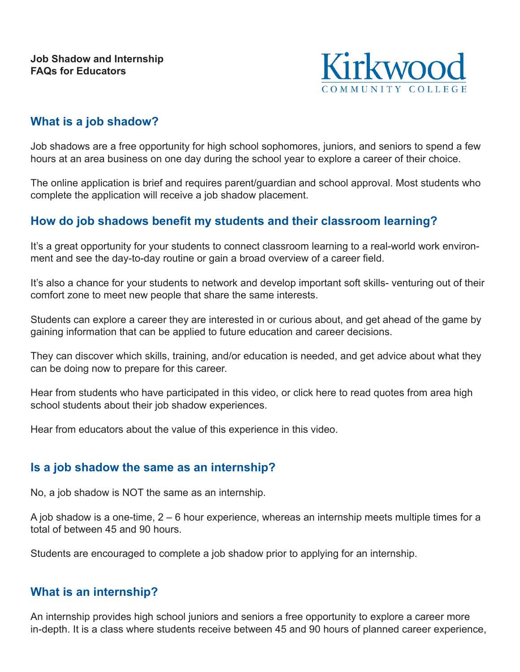

# **What is a job shadow?**

Job shadows are a free opportunity for high school sophomores, juniors, and seniors to spend a few hours at an area business on one day during the school year to explore a career of their choice.

The online application is brief and requires parent/guardian and school approval. Most students who complete the application will receive a job shadow placement.

# **How do job shadows benefit my students and their classroom learning?**

It's a great opportunity for your students to connect classroom learning to a real-world work environment and see the day-to-day routine or gain a broad overview of a career field.

It's also a chance for your students to network and develop important soft skills- venturing out of their comfort zone to meet new people that share the same interests.

Students can explore a career they are interested in or curious about, and get ahead of the game by gaining information that can be applied to future education and career decisions.

They can discover which skills, training, and/or education is needed, and get advice about what they can be doing now to prepare for this career.

Hear from students who have participated in this video, or click here to read quotes from area high school students about their job shadow experiences.

Hear from educators about the value of this experience in this video.

## **Is a job shadow the same as an internship?**

No, a job shadow is NOT the same as an internship.

A job shadow is a one-time, 2 – 6 hour experience, whereas an internship meets multiple times for a total of between 45 and 90 hours.

Students are encouraged to complete a job shadow prior to applying for an internship.

## **What is an internship?**

An internship provides high school juniors and seniors a free opportunity to explore a career more in-depth. It is a class where students receive between 45 and 90 hours of planned career experience,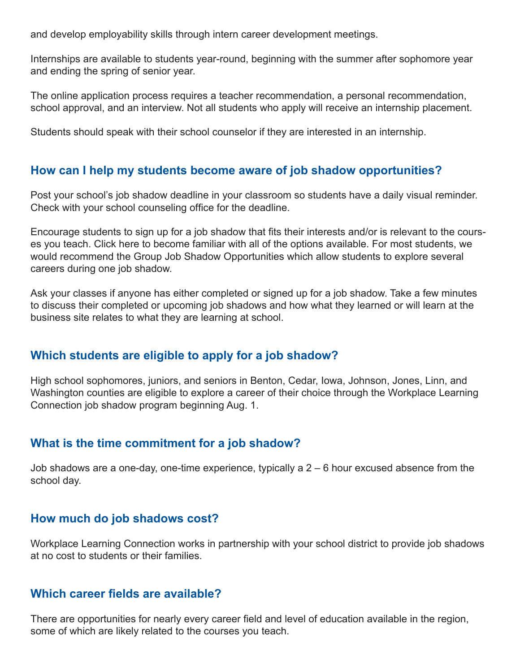and develop employability skills through intern career development meetings.

Internships are available to students year-round, beginning with the summer after sophomore year and ending the spring of senior year.

The online application process requires a teacher recommendation, a personal recommendation, school approval, and an interview. Not all students who apply will receive an internship placement.

Students should speak with their school counselor if they are interested in an internship.

### **How can I help my students become aware of job shadow opportunities?**

Post your school's job shadow deadline in your classroom so students have a daily visual reminder. Check with your school counseling office for the deadline.

Encourage students to sign up for a job shadow that fits their interests and/or is relevant to the courses you teach. Click here to become familiar with all of the options available. For most students, we would recommend the Group Job Shadow Opportunities which allow students to explore several careers during one job shadow.

Ask your classes if anyone has either completed or signed up for a job shadow. Take a few minutes to discuss their completed or upcoming job shadows and how what they learned or will learn at the business site relates to what they are learning at school.

## **Which students are eligible to apply for a job shadow?**

High school sophomores, juniors, and seniors in Benton, Cedar, Iowa, Johnson, Jones, Linn, and Washington counties are eligible to explore a career of their choice through the Workplace Learning Connection job shadow program beginning Aug. 1.

## **What is the time commitment for a job shadow?**

Job shadows are a one-day, one-time experience, typically a 2 – 6 hour excused absence from the school day.

### **How much do job shadows cost?**

Workplace Learning Connection works in partnership with your school district to provide job shadows at no cost to students or their families.

### **Which career fields are available?**

There are opportunities for nearly every career field and level of education available in the region, some of which are likely related to the courses you teach.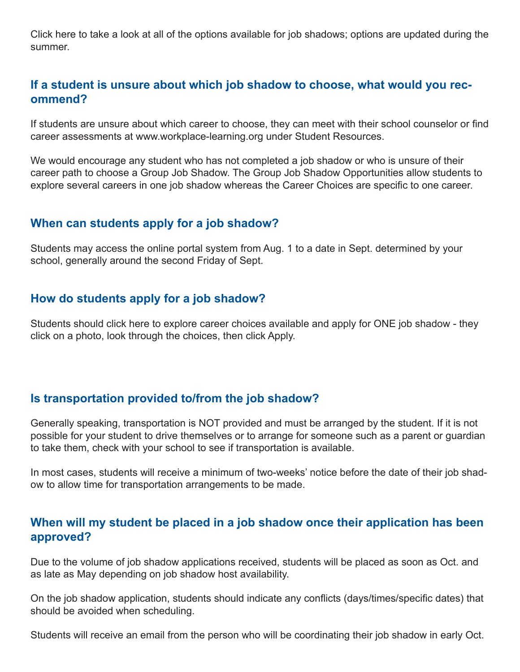Click here to take a look at all of the options available for job shadows; options are updated during the summer.

### **If a student is unsure about which job shadow to choose, what would you recommend?**

If students are unsure about which career to choose, they can meet with their school counselor or find career assessments at www.workplace-learning.org under Student Resources.

We would encourage any student who has not completed a job shadow or who is unsure of their career path to choose a Group Job Shadow. The Group Job Shadow Opportunities allow students to explore several careers in one job shadow whereas the Career Choices are specific to one career.

### **When can students apply for a job shadow?**

Students may access the online portal system from Aug. 1 to a date in Sept. determined by your school, generally around the second Friday of Sept.

### **How do students apply for a job shadow?**

Students should click here to explore career choices available and apply for ONE job shadow - they click on a photo, look through the choices, then click Apply.

## **Is transportation provided to/from the job shadow?**

Generally speaking, transportation is NOT provided and must be arranged by the student. If it is not possible for your student to drive themselves or to arrange for someone such as a parent or guardian to take them, check with your school to see if transportation is available.

In most cases, students will receive a minimum of two-weeks' notice before the date of their job shadow to allow time for transportation arrangements to be made.

### **When will my student be placed in a job shadow once their application has been approved?**

Due to the volume of job shadow applications received, students will be placed as soon as Oct. and as late as May depending on job shadow host availability.

On the job shadow application, students should indicate any conflicts (days/times/specific dates) that should be avoided when scheduling.

Students will receive an email from the person who will be coordinating their job shadow in early Oct.